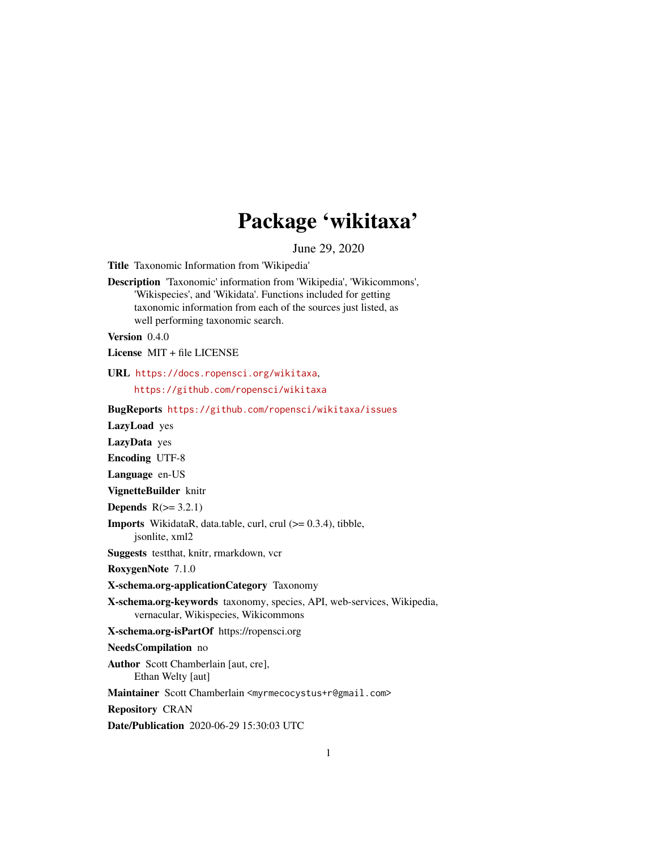# Package 'wikitaxa'

June 29, 2020

<span id="page-0-0"></span>Title Taxonomic Information from 'Wikipedia'

Description 'Taxonomic' information from 'Wikipedia', 'Wikicommons', 'Wikispecies', and 'Wikidata'. Functions included for getting taxonomic information from each of the sources just listed, as well performing taxonomic search.

Version 0.4.0

License MIT + file LICENSE

URL <https://docs.ropensci.org/wikitaxa>,

<https://github.com/ropensci/wikitaxa>

#### BugReports <https://github.com/ropensci/wikitaxa/issues>

LazyLoad yes

LazyData yes

Encoding UTF-8

Language en-US

VignetteBuilder knitr

Depends  $R(>= 3.2.1)$ 

Imports WikidataR, data.table, curl, crul (>= 0.3.4), tibble, jsonlite, xml2

Suggests testthat, knitr, rmarkdown, vcr

RoxygenNote 7.1.0

#### X-schema.org-applicationCategory Taxonomy

X-schema.org-keywords taxonomy, species, API, web-services, Wikipedia, vernacular, Wikispecies, Wikicommons

X-schema.org-isPartOf https://ropensci.org

#### NeedsCompilation no

Author Scott Chamberlain [aut, cre], Ethan Welty [aut]

Maintainer Scott Chamberlain <myrmecocystus+r@gmail.com>

Repository CRAN

Date/Publication 2020-06-29 15:30:03 UTC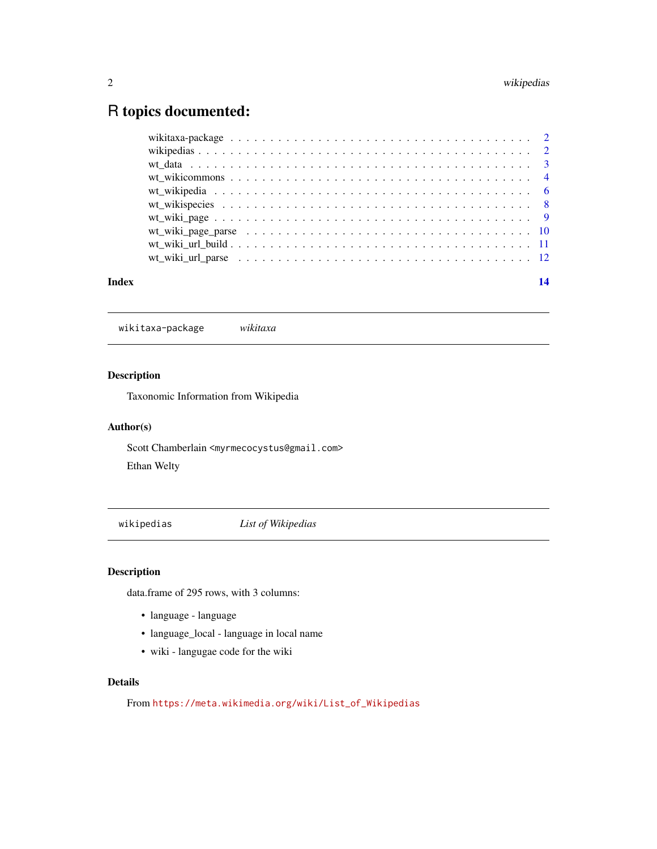## <span id="page-1-0"></span>R topics documented:

| Index |  |  |  |  |  |  |  |  |  |  |  |  |  |  |  |  | 14 |
|-------|--|--|--|--|--|--|--|--|--|--|--|--|--|--|--|--|----|
|       |  |  |  |  |  |  |  |  |  |  |  |  |  |  |  |  |    |
|       |  |  |  |  |  |  |  |  |  |  |  |  |  |  |  |  |    |
|       |  |  |  |  |  |  |  |  |  |  |  |  |  |  |  |  |    |
|       |  |  |  |  |  |  |  |  |  |  |  |  |  |  |  |  |    |
|       |  |  |  |  |  |  |  |  |  |  |  |  |  |  |  |  |    |
|       |  |  |  |  |  |  |  |  |  |  |  |  |  |  |  |  |    |
|       |  |  |  |  |  |  |  |  |  |  |  |  |  |  |  |  |    |
|       |  |  |  |  |  |  |  |  |  |  |  |  |  |  |  |  |    |
|       |  |  |  |  |  |  |  |  |  |  |  |  |  |  |  |  |    |
|       |  |  |  |  |  |  |  |  |  |  |  |  |  |  |  |  |    |

wikitaxa-package *wikitaxa*

#### Description

Taxonomic Information from Wikipedia

#### Author(s)

Scott Chamberlain <myrmecocystus@gmail.com> Ethan Welty

<span id="page-1-1"></span>wikipedias *List of Wikipedias*

#### Description

data.frame of 295 rows, with 3 columns:

- language language
- language\_local language in local name
- wiki langugae code for the wiki

#### Details

From [https://meta.wikimedia.org/wiki/List\\_of\\_Wikipedias](https://meta.wikimedia.org/wiki/List_of_Wikipedias)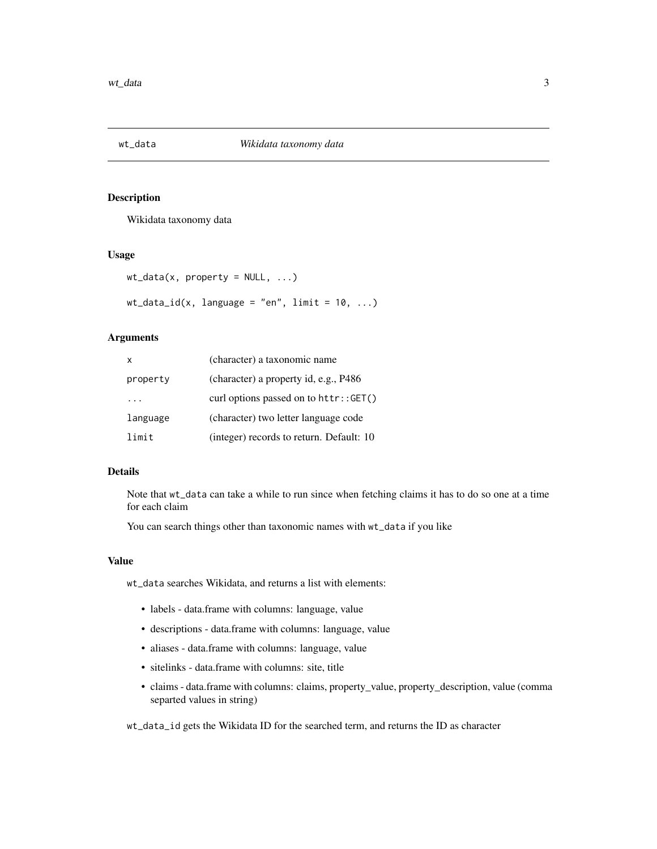<span id="page-2-0"></span>

#### Description

Wikidata taxonomy data

#### Usage

```
wt_data(x, property = NULL, ...)
```
 $wt_data_id(x, language = "en", limit = 10, ...)$ 

#### Arguments

| x        | (character) a taxonomic name             |
|----------|------------------------------------------|
| property | (character) a property id, e.g., P486    |
|          | curl options passed on to $http://GET()$ |
| language | (character) two letter language code     |
| limit    | (integer) records to return. Default: 10 |

#### Details

Note that wt\_data can take a while to run since when fetching claims it has to do so one at a time for each claim

You can search things other than taxonomic names with wt\_data if you like

#### Value

wt\_data searches Wikidata, and returns a list with elements:

- labels data.frame with columns: language, value
- descriptions data.frame with columns: language, value
- aliases data.frame with columns: language, value
- sitelinks data.frame with columns: site, title
- claims data.frame with columns: claims, property\_value, property\_description, value (comma separted values in string)

wt\_data\_id gets the Wikidata ID for the searched term, and returns the ID as character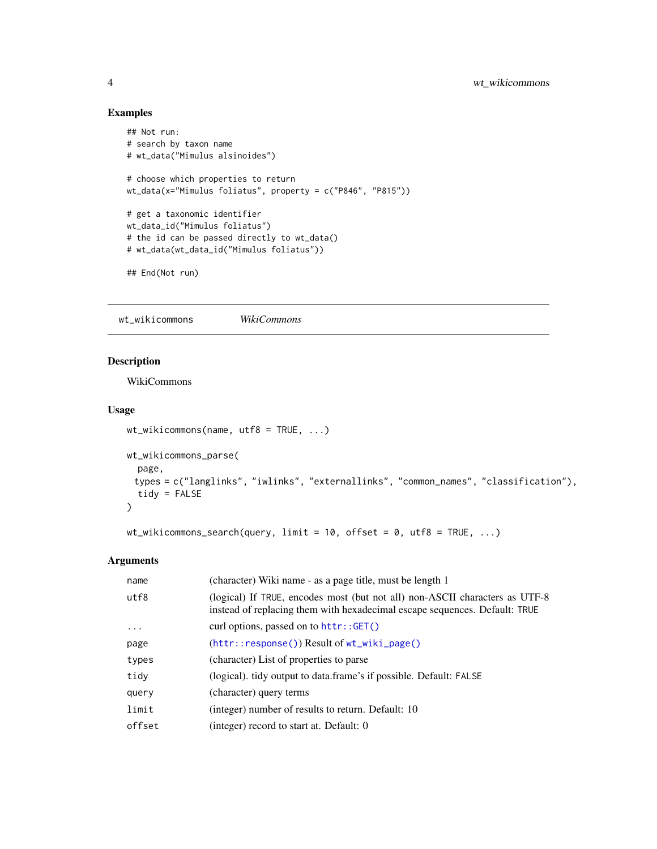#### Examples

```
## Not run:
# search by taxon name
# wt_data("Mimulus alsinoides")
# choose which properties to return
wt_data(x="Mimulus foliatus", property = c("P846", "P815"))
# get a taxonomic identifier
wt_data_id("Mimulus foliatus")
# the id can be passed directly to wt_data()
# wt_data(wt_data_id("Mimulus foliatus"))
## End(Not run)
```
wt\_wikicommons *WikiCommons*

#### Description

WikiCommons

#### Usage

```
wt_wikicommons(name, utf8 = TRUE, ...)
wt_wikicommons_parse(
  page,
 types = c("langlinks", "iwlinks", "externallinks", "common_names", "classification"),
 tidy = FALSE
)
```

```
wt_wikicommons_search(query, limit = 10, offset = 0, utf8 = TRUE, \ldots)
```
#### Arguments

| name      | (character) Wiki name - as a page title, must be length 1                                                                                                 |
|-----------|-----------------------------------------------------------------------------------------------------------------------------------------------------------|
| utf8      | (logical) If TRUE, encodes most (but not all) non-ASCII characters as UTF-8<br>instead of replacing them with hexadecimal escape sequences. Default: TRUE |
| $\ddotsc$ | curl options, passed on to $http://GET()$                                                                                                                 |
| page      | $(httr::response()$ ) Result of $wt_wiki\_page()$                                                                                                         |
| types     | (character) List of properties to parse                                                                                                                   |
| tidy      | (logical), tidy output to data.frame's if possible. Default: FALSE                                                                                        |
| query     | (character) query terms                                                                                                                                   |
| limit     | (integer) number of results to return. Default: 10                                                                                                        |
| offset    | (integer) record to start at. Default: 0                                                                                                                  |

<span id="page-3-0"></span>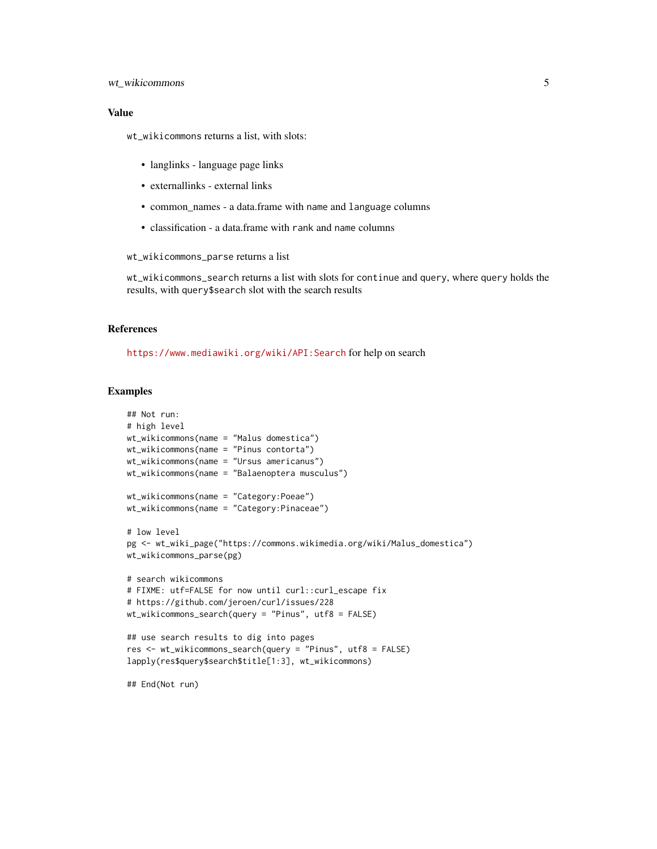#### wt\_wikicommons 5

#### Value

wt\_wikicommons returns a list, with slots:

- langlinks language page links
- externallinks external links
- common\_names a data.frame with name and language columns
- classification a data.frame with rank and name columns

wt\_wikicommons\_parse returns a list

wt\_wikicommons\_search returns a list with slots for continue and query, where query holds the results, with query\$search slot with the search results

#### References

<https://www.mediawiki.org/wiki/API:Search> for help on search

#### Examples

```
## Not run:
# high level
wt_wikicommons(name = "Malus domestica")
wt_wikicommons(name = "Pinus contorta")
wt_wikicommons(name = "Ursus americanus")
wt_wikicommons(name = "Balaenoptera musculus")
wt_wikicommons(name = "Category:Poeae")
wt_wikicommons(name = "Category:Pinaceae")
# low level
pg <- wt_wiki_page("https://commons.wikimedia.org/wiki/Malus_domestica")
wt_wikicommons_parse(pg)
# search wikicommons
# FIXME: utf=FALSE for now until curl::curl_escape fix
# https://github.com/jeroen/curl/issues/228
wt_wikicommons_search(query = "Pinus", utf8 = FALSE)
## use search results to dig into pages
res <- wt_wikicommons_search(query = "Pinus", utf8 = FALSE)
lapply(res$query$search$title[1:3], wt_wikicommons)
```
## End(Not run)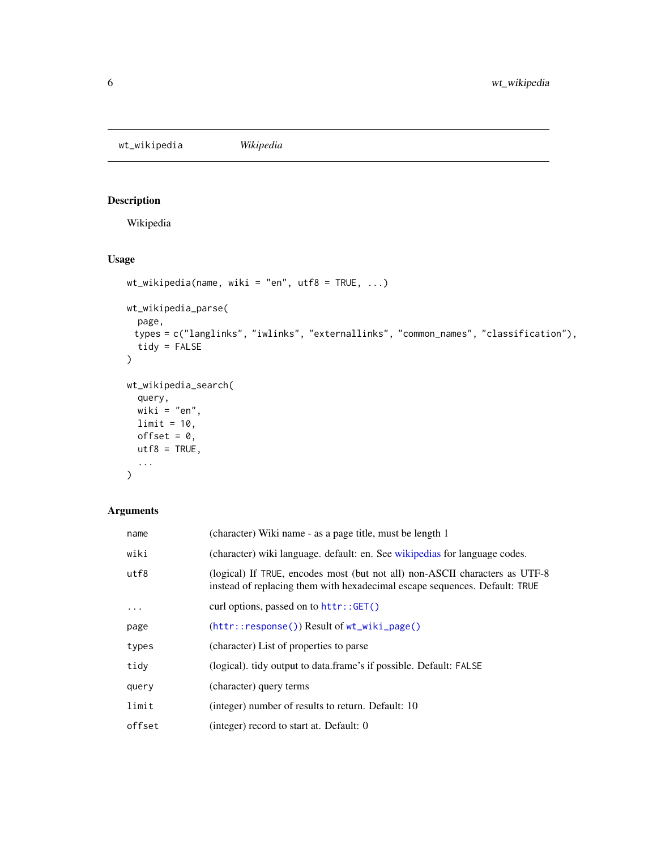<span id="page-5-0"></span>wt\_wikipedia *Wikipedia*

#### Description

Wikipedia

#### Usage

```
wt_wikipedia(name, wiki = "en", utf8 = TRUE, ...)
wt_wikipedia_parse(
  page,
 types = c("langlinks", "iwlinks", "externallinks", "common_names", "classification"),
 tidy = FALSE
\mathcal{L}wt_wikipedia_search(
  query,
  wiki = "en",limit = 10,offset = 0,
  utf8 = TRUE,...
)
```
#### Arguments

| name       | (character) Wiki name - as a page title, must be length 1                                                                                                 |
|------------|-----------------------------------------------------------------------------------------------------------------------------------------------------------|
| wiki       | (character) wiki language. default: en. See wikipedias for language codes.                                                                                |
| utf8       | (logical) If TRUE, encodes most (but not all) non-ASCII characters as UTF-8<br>instead of replacing them with hexadecimal escape sequences. Default: TRUE |
| $\ddots$ . | curl options, passed on to $http://GET()$                                                                                                                 |
| page       | $(httr::response()$ ) Result of $wt_wiki_page()$                                                                                                          |
| types      | (character) List of properties to parse                                                                                                                   |
| tidy       | (logical). tidy output to data.frame's if possible. Default: FALSE                                                                                        |
| query      | (character) query terms                                                                                                                                   |
| limit      | (integer) number of results to return. Default: 10                                                                                                        |
| offset     | (integer) record to start at. Default: 0                                                                                                                  |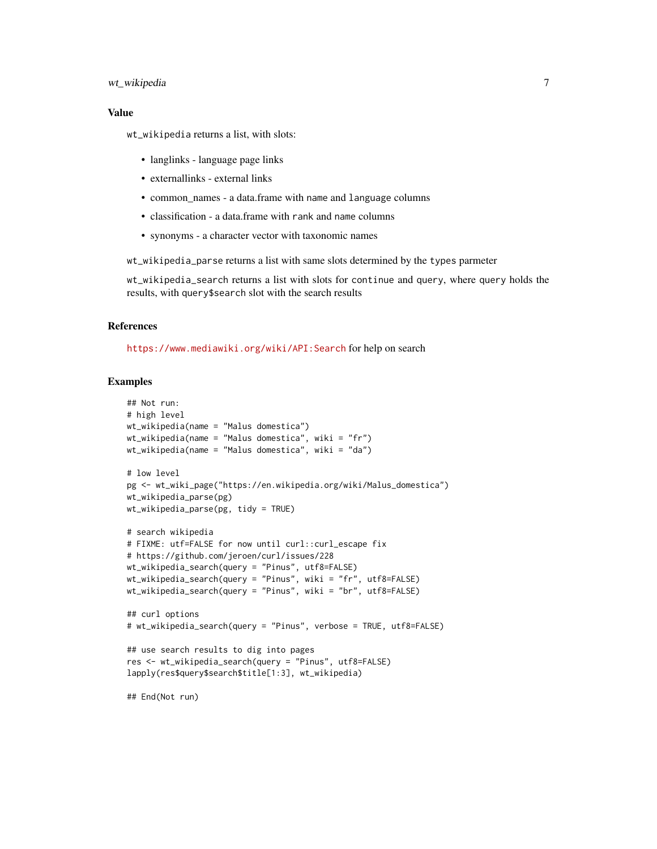#### wt\_wikipedia 7

#### Value

wt\_wikipedia returns a list, with slots:

- langlinks language page links
- externallinks external links
- common names a data.frame with name and language columns
- classification a data.frame with rank and name columns
- synonyms a character vector with taxonomic names

wt\_wikipedia\_parse returns a list with same slots determined by the types parmeter

wt\_wikipedia\_search returns a list with slots for continue and query, where query holds the results, with query\$search slot with the search results

#### References

<https://www.mediawiki.org/wiki/API:Search> for help on search

#### Examples

```
## Not run:
# high level
wt_wikipedia(name = "Malus domestica")
wt_wikipedia(name = "Malus domestica", wiki = "fr")
wt_wikipedia(name = "Malus domestica", wiki = "da")
# low level
pg <- wt_wiki_page("https://en.wikipedia.org/wiki/Malus_domestica")
wt_wikipedia_parse(pg)
wt_wikipedia_parse(pg, tidy = TRUE)
# search wikipedia
# FIXME: utf=FALSE for now until curl::curl_escape fix
# https://github.com/jeroen/curl/issues/228
wt_wikipedia_search(query = "Pinus", utf8=FALSE)
wt_wikipedia_search(query = "Pinus", wiki = "fr", utf8=FALSE)
wt_wikipedia_search(query = "Pinus", wiki = "br", utf8=FALSE)
## curl options
# wt_wikipedia_search(query = "Pinus", verbose = TRUE, utf8=FALSE)
## use search results to dig into pages
res <- wt_wikipedia_search(query = "Pinus", utf8=FALSE)
lapply(res$query$search$title[1:3], wt_wikipedia)
## End(Not run)
```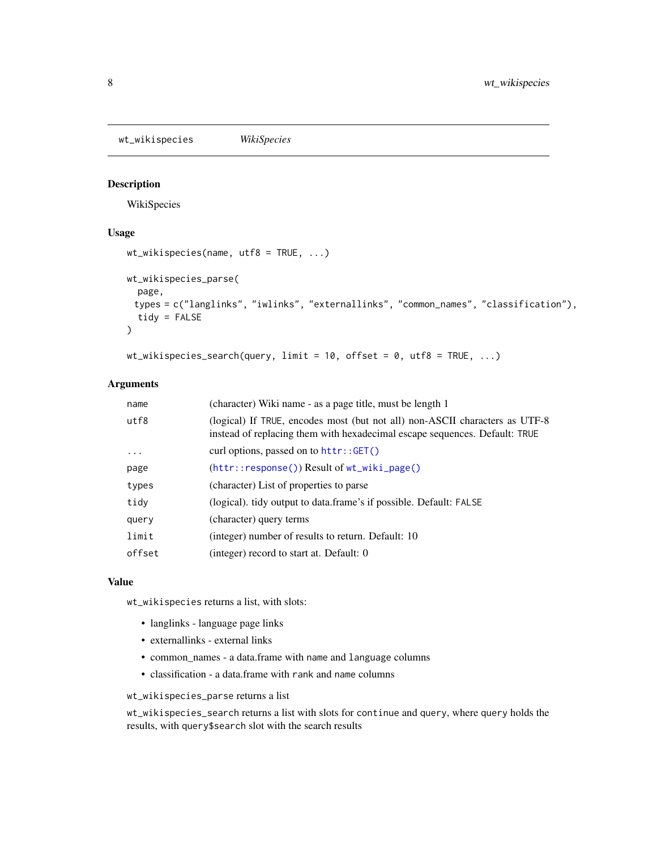<span id="page-7-0"></span>wt\_wikispecies *WikiSpecies*

#### Description

WikiSpecies

#### Usage

```
wt_wikispecies(name, utf8 = TRUE, ...)
wt_wikispecies_parse(
 page,
 types = c("langlinks", "iwlinks", "externallinks", "common_names", "classification"),
  tidy = FALSE
)
```

```
wt_wikispecies\_search(query, limit = 10, offset = 0, utf8 = TRUE, ...)
```
#### Arguments

| name    | (character) Wiki name - as a page title, must be length 1                                                                                                 |
|---------|-----------------------------------------------------------------------------------------------------------------------------------------------------------|
| utf8    | (logical) If TRUE, encodes most (but not all) non-ASCII characters as UTF-8<br>instead of replacing them with hexadecimal escape sequences. Default: TRUE |
| $\cdot$ | curl options, passed on to $http://GET()$                                                                                                                 |
| page    | $(httr::response()$ ) Result of $wt_wiki\_page()$                                                                                                         |
| types   | (character) List of properties to parse                                                                                                                   |
| tidy    | (logical). tidy output to data.frame's if possible. Default: FALSE                                                                                        |
| query   | (character) query terms                                                                                                                                   |
| limit   | (integer) number of results to return. Default: 10                                                                                                        |
| offset  | (integer) record to start at. Default: 0                                                                                                                  |
|         |                                                                                                                                                           |

#### Value

wt\_wikispecies returns a list, with slots:

- langlinks language page links
- externallinks external links
- common\_names a data.frame with name and language columns
- classification a data.frame with rank and name columns

wt\_wikispecies\_parse returns a list

wt\_wikispecies\_search returns a list with slots for continue and query, where query holds the results, with query\$search slot with the search results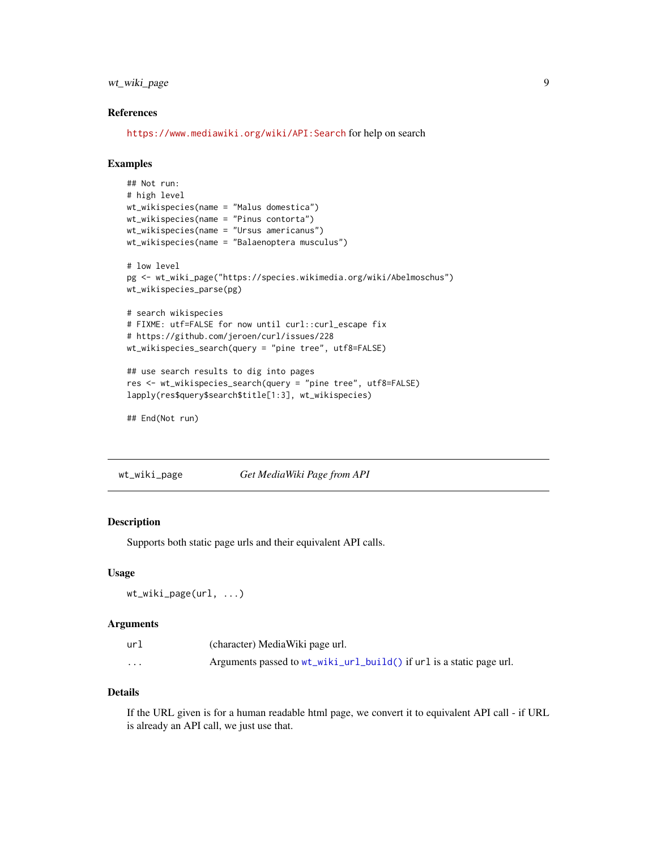#### <span id="page-8-0"></span>wt\_wiki\_page 9

#### References

<https://www.mediawiki.org/wiki/API:Search> for help on search

#### Examples

```
## Not run:
# high level
wt_wikispecies(name = "Malus domestica")
wt_wikispecies(name = "Pinus contorta")
wt_wikispecies(name = "Ursus americanus")
wt_wikispecies(name = "Balaenoptera musculus")
# low level
pg <- wt_wiki_page("https://species.wikimedia.org/wiki/Abelmoschus")
wt_wikispecies_parse(pg)
# search wikispecies
# FIXME: utf=FALSE for now until curl::curl_escape fix
# https://github.com/jeroen/curl/issues/228
wt_wikispecies_search(query = "pine tree", utf8=FALSE)
## use search results to dig into pages
res <- wt_wikispecies_search(query = "pine tree", utf8=FALSE)
lapply(res$query$search$title[1:3], wt_wikispecies)
## End(Not run)
```
<span id="page-8-1"></span>wt\_wiki\_page *Get MediaWiki Page from API*

#### Description

Supports both static page urls and their equivalent API calls.

#### Usage

```
wt_wiki_page(url, ...)
```
#### Arguments

| url      | (character) Media Wiki page url.                                     |
|----------|----------------------------------------------------------------------|
| $\cdots$ | Arguments passed to wt_wiki_url_build() if url is a static page url. |

#### Details

If the URL given is for a human readable html page, we convert it to equivalent API call - if URL is already an API call, we just use that.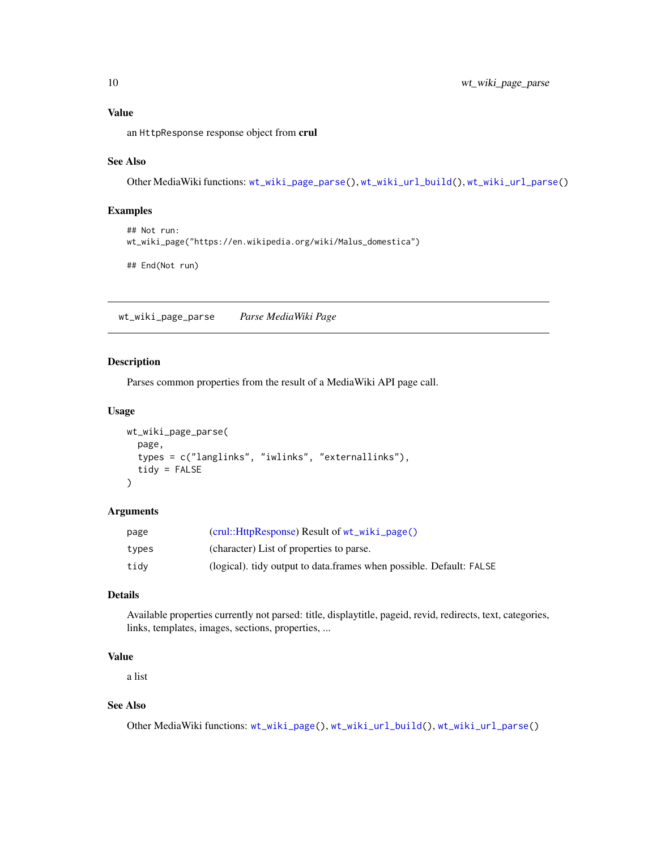#### <span id="page-9-0"></span>Value

an HttpResponse response object from crul

#### See Also

Other MediaWiki functions: [wt\\_wiki\\_page\\_parse\(](#page-9-1)), [wt\\_wiki\\_url\\_build\(](#page-10-1)), [wt\\_wiki\\_url\\_parse\(](#page-11-1))

#### Examples

```
## Not run:
wt_wiki_page("https://en.wikipedia.org/wiki/Malus_domestica")
```
## End(Not run)

<span id="page-9-1"></span>wt\_wiki\_page\_parse *Parse MediaWiki Page*

#### Description

Parses common properties from the result of a MediaWiki API page call.

#### Usage

```
wt_wiki_page_parse(
 page,
  types = c("langlinks", "iwlinks", "externallinks"),
  tidy = FALSE)
```
#### Arguments

| page  | $(cru::HttpResponse)$ Result of $wt_wiki\_page()$                   |
|-------|---------------------------------------------------------------------|
| types | (character) List of properties to parse.                            |
| tidv  | (logical), tidy output to data frames when possible. Default: FALSE |

#### Details

Available properties currently not parsed: title, displaytitle, pageid, revid, redirects, text, categories, links, templates, images, sections, properties, ...

#### Value

a list

#### See Also

Other MediaWiki functions: [wt\\_wiki\\_page\(](#page-8-1)), [wt\\_wiki\\_url\\_build\(](#page-10-1)), [wt\\_wiki\\_url\\_parse\(](#page-11-1))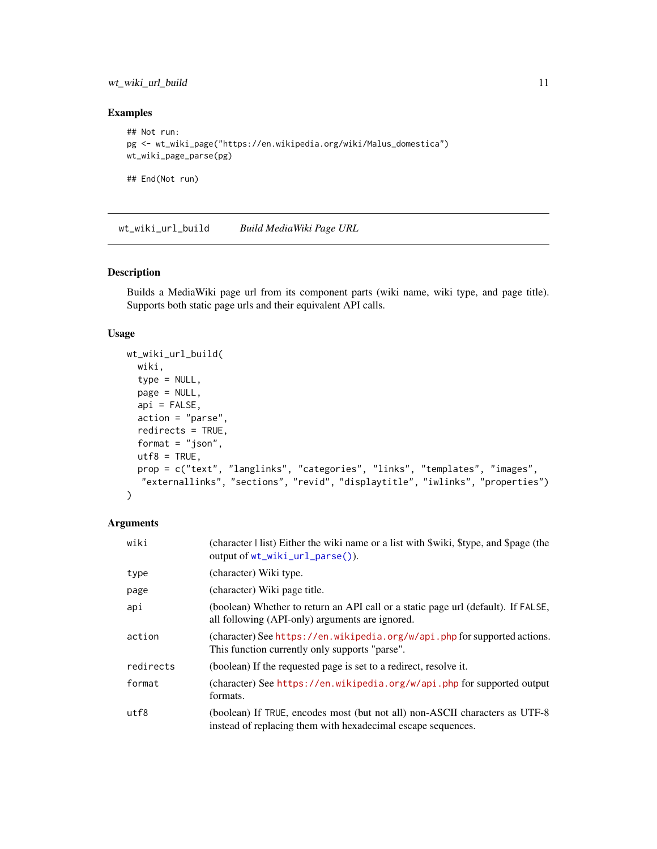#### <span id="page-10-0"></span>wt\_wiki\_url\_build 11

#### Examples

```
## Not run:
pg <- wt_wiki_page("https://en.wikipedia.org/wiki/Malus_domestica")
wt_wiki_page_parse(pg)
```
## End(Not run)

<span id="page-10-1"></span>wt\_wiki\_url\_build *Build MediaWiki Page URL*

#### Description

Builds a MediaWiki page url from its component parts (wiki name, wiki type, and page title). Supports both static page urls and their equivalent API calls.

#### Usage

```
wt_wiki_url_build(
 wiki,
  type = NULL,
 page = NULL,
  api = FALSE,action = "parse",
  redirects = TRUE,
  format = "json",
 utf8 = TRUE,prop = c("text", "langlinks", "categories", "links", "templates", "images",
  "externallinks", "sections", "revid", "displaytitle", "iwlinks", "properties")
)
```
#### Arguments

| wiki      | (character   list) Either the wiki name or a list with \$wiki, \$type, and \$page (the<br>output of $wt_wiki_url_parse()$ .                 |
|-----------|---------------------------------------------------------------------------------------------------------------------------------------------|
| type      | (character) Wiki type.                                                                                                                      |
| page      | (character) Wiki page title.                                                                                                                |
| api       | (boolean) Whether to return an API call or a static page url (default). If FALSE,<br>all following (API-only) arguments are ignored.        |
| action    | (character) See https://en.wikipedia.org/w/api.php for supported actions.<br>This function currently only supports "parse".                 |
| redirects | (boolean) If the requested page is set to a redirect, resolve it.                                                                           |
| format    | (character) See https://en.wikipedia.org/w/api.php for supported output<br>formats.                                                         |
| utf8      | (boolean) If TRUE, encodes most (but not all) non-ASCII characters as UTF-8<br>instead of replacing them with hexadecimal escape sequences. |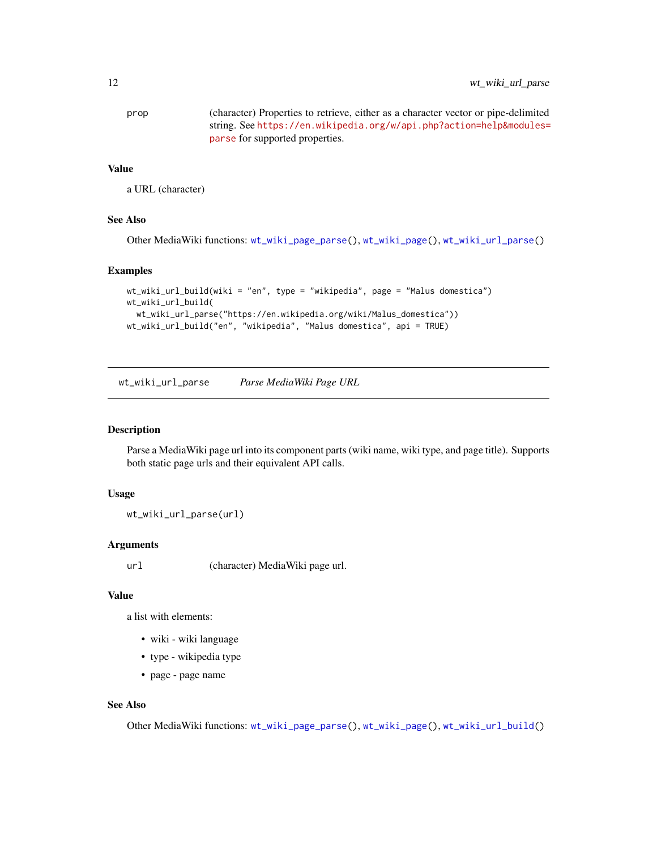<span id="page-11-0"></span>prop (character) Properties to retrieve, either as a character vector or pipe-delimited string. See [https://en.wikipedia.org/w/api.php?action=help&modules=](https://en.wikipedia.org/w/api.php?action=help&modules=parse) [parse](https://en.wikipedia.org/w/api.php?action=help&modules=parse) for supported properties.

#### Value

```
a URL (character)
```
#### See Also

Other MediaWiki functions: [wt\\_wiki\\_page\\_parse\(](#page-9-1)), [wt\\_wiki\\_page\(](#page-8-1)), [wt\\_wiki\\_url\\_parse\(](#page-11-1))

#### Examples

```
wt_wiki_url_build(wiki = "en", type = "wikipedia", page = "Malus domestica")
wt_wiki_url_build(
  wt_wiki_url_parse("https://en.wikipedia.org/wiki/Malus_domestica"))
wt_wiki_url_build("en", "wikipedia", "Malus domestica", api = TRUE)
```
<span id="page-11-1"></span>wt\_wiki\_url\_parse *Parse MediaWiki Page URL*

#### Description

Parse a MediaWiki page url into its component parts (wiki name, wiki type, and page title). Supports both static page urls and their equivalent API calls.

#### Usage

wt\_wiki\_url\_parse(url)

#### Arguments

url (character) MediaWiki page url.

#### Value

a list with elements:

- wiki wiki language
- type wikipedia type
- page page name

#### See Also

Other MediaWiki functions: [wt\\_wiki\\_page\\_parse\(](#page-9-1)), [wt\\_wiki\\_page\(](#page-8-1)), [wt\\_wiki\\_url\\_build\(](#page-10-1))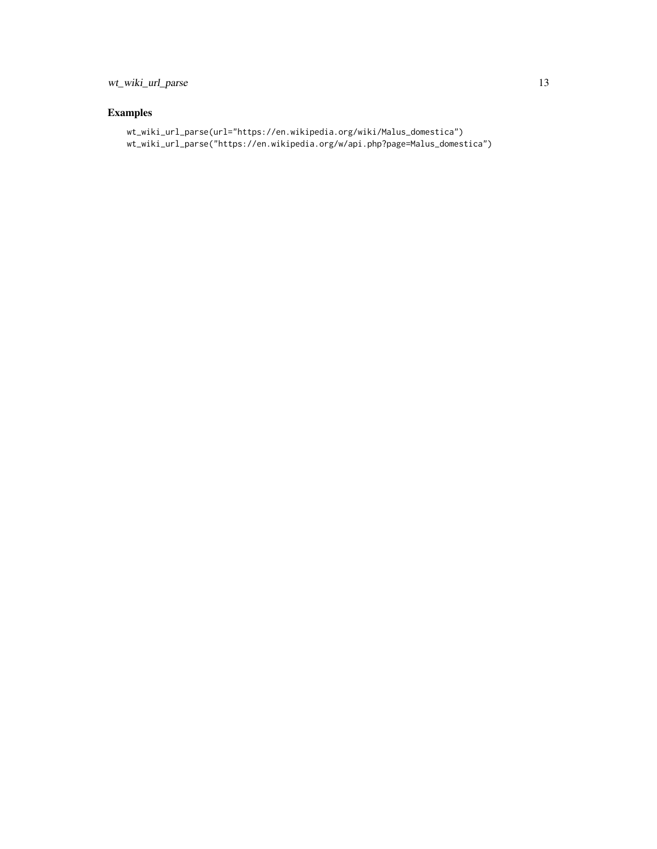### Examples

wt\_wiki\_url\_parse(url="https://en.wikipedia.org/wiki/Malus\_domestica") wt\_wiki\_url\_parse("https://en.wikipedia.org/w/api.php?page=Malus\_domestica")